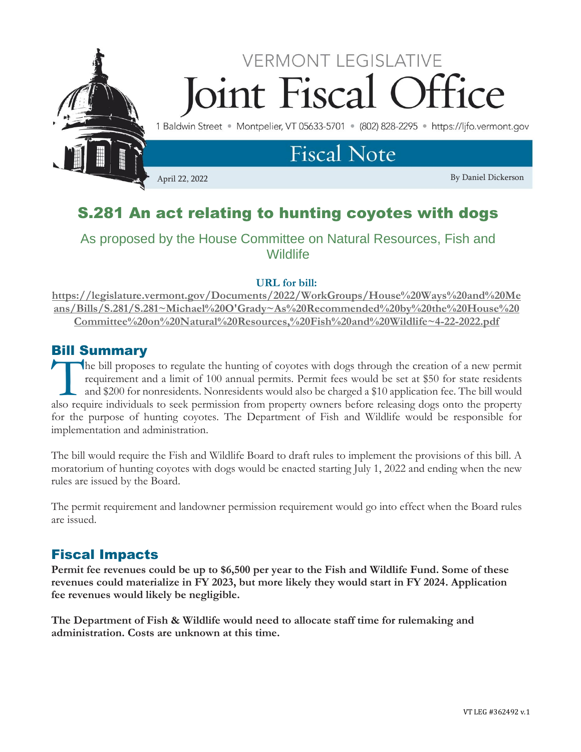

# S.281 An act relating to hunting coyotes with dogs

## As proposed by the House Committee on Natural Resources, Fish and **Wildlife**

### **URL for bill:**

**[https://legislature.vermont.gov/Documents/2022/WorkGroups/House%20Ways%20and%20Me](https://legislature.vermont.gov/Documents/2022/WorkGroups/House%20Ways%20and%20Means/Bills/S.281/S.281~Michael%20O) [ans/Bills/S.281/S.281~Michael%20O'Grady~As%20Recommended%20by%20the%20House%20](https://legislature.vermont.gov/Documents/2022/WorkGroups/House%20Ways%20and%20Means/Bills/S.281/S.281~Michael%20O) [Committee%20on%20Natural%20Resources,%20Fish%20and%20Wildlife~4-22-2022.pdf](https://legislature.vermont.gov/Documents/2022/WorkGroups/House%20Ways%20and%20Means/Bills/S.281/S.281~Michael%20O)**

### Bill Summary

he bill proposes to regulate the hunting of coyotes with dogs through the creation of a new permit requirement and a limit of 100 annual permits. Permit fees would be set at \$50 for state residents and \$200 for nonresidents. Nonresidents would also be charged a \$10 application fee. The bill would The bill proposes to regulate the hunting of coyotes with dogs through the creation of a new permit requirement and a limit of 100 annual permits. Permit fees would be set at \$50 for state residents and \$200 for nonresiden for the purpose of hunting coyotes. The Department of Fish and Wildlife would be responsible for implementation and administration.

The bill would require the Fish and Wildlife Board to draft rules to implement the provisions of this bill. A moratorium of hunting coyotes with dogs would be enacted starting July 1, 2022 and ending when the new rules are issued by the Board.

The permit requirement and landowner permission requirement would go into effect when the Board rules are issued.

## Fiscal Impacts

**Permit fee revenues could be up to \$6,500 per year to the Fish and Wildlife Fund. Some of these revenues could materialize in FY 2023, but more likely they would start in FY 2024. Application fee revenues would likely be negligible.**

**The Department of Fish & Wildlife would need to allocate staff time for rulemaking and administration. Costs are unknown at this time.**